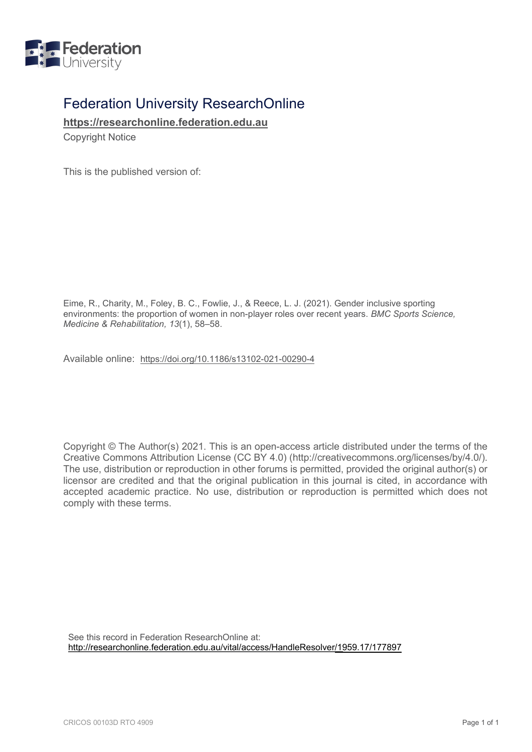

## Federation University ResearchOnline

**[https://researchonline.federation.edu.au](https://researchonline.federation.edu.au/)**

Copyright Notice

This is the published version of:

Eime, R., Charity, M., Foley, B. C., Fowlie, J., & Reece, L. J. (2021). Gender inclusive sporting environments: the proportion of women in non-player roles over recent years. *BMC Sports Science, Medicine & Rehabilitation, 13*(1), 58–58.

Available online: <https://doi.org/10.1186/s13102-021-00290-4>

Copyright © The Author(s) 2021. This is an open-access article distributed under the terms of the Creative Commons Attribution License (CC BY 4.0) (http://creativecommons.org/licenses/by/4.0/). The use, distribution or reproduction in other forums is permitted, provided the original author(s) or licensor are credited and that the original publication in this journal is cited, in accordance with accepted academic practice. No use, distribution or reproduction is permitted which does not comply with these terms.

See this record in Federation ResearchOnline at: [http://researchonline.federation.edu.au/vital/access/HandleResolver/19](https://researchonline.federation.edu.au/vital/access/HandleResolver/)59.17/177897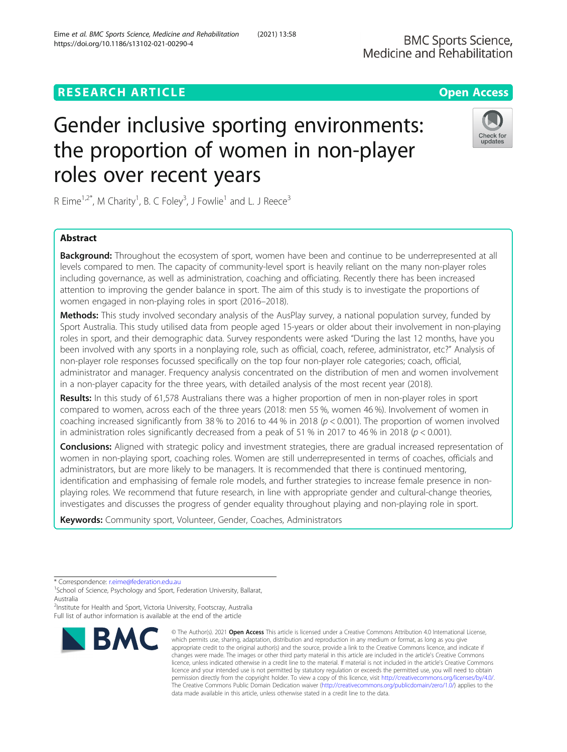## **RESEARCH ARTICLE Example 2014 12:30 The Contract of Contract ACCESS**

# Gender inclusive sporting environments: the proportion of women in non-player roles over recent years

R Eime<sup>1,2\*</sup>, M Charity<sup>1</sup>, B. C Foley<sup>3</sup>, J Fowlie<sup>1</sup> and L. J Reece<sup>3</sup>

## Abstract

Background: Throughout the ecosystem of sport, women have been and continue to be underrepresented at all levels compared to men. The capacity of community-level sport is heavily reliant on the many non-player roles including governance, as well as administration, coaching and officiating. Recently there has been increased attention to improving the gender balance in sport. The aim of this study is to investigate the proportions of women engaged in non-playing roles in sport (2016–2018).

Methods: This study involved secondary analysis of the AusPlay survey, a national population survey, funded by Sport Australia. This study utilised data from people aged 15-years or older about their involvement in non-playing roles in sport, and their demographic data. Survey respondents were asked "During the last 12 months, have you been involved with any sports in a nonplaying role, such as official, coach, referee, administrator, etc?" Analysis of non-player role responses focussed specifically on the top four non-player role categories; coach, official, administrator and manager. Frequency analysis concentrated on the distribution of men and women involvement in a non-player capacity for the three years, with detailed analysis of the most recent year (2018).

Results: In this study of 61,578 Australians there was a higher proportion of men in non-player roles in sport compared to women, across each of the three years (2018: men 55 %, women 46 %). Involvement of women in coaching increased significantly from 38 % to 2016 to 44 % in 2018 ( $p < 0.001$ ). The proportion of women involved in administration roles significantly decreased from a peak of 51 % in 2017 to 46 % in 2018 ( $p < 0.001$ ).

Conclusions: Aligned with strategic policy and investment strategies, there are gradual increased representation of women in non-playing sport, coaching roles. Women are still underrepresented in terms of coaches, officials and administrators, but are more likely to be managers. It is recommended that there is continued mentoring, identification and emphasising of female role models, and further strategies to increase female presence in nonplaying roles. We recommend that future research, in line with appropriate gender and cultural-change theories, investigates and discusses the progress of gender equality throughout playing and non-playing role in sport.

data made available in this article, unless otherwise stated in a credit line to the data.

© The Author(s), 2021 **Open Access** This article is licensed under a Creative Commons Attribution 4.0 International License,

The Creative Commons Public Domain Dedication waiver [\(http://creativecommons.org/publicdomain/zero/1.0/](http://creativecommons.org/publicdomain/zero/1.0/)) applies to the

Keywords: Community sport, Volunteer, Gender, Coaches, Administrators

<sup>2</sup>Institute for Health and Sport, Victoria University, Footscray, Australia Full list of author information is available at the end of the article





updates



<sup>\*</sup> Correspondence: [r.eime@federation.edu.au](mailto:r.eime@federation.edu.au)<br><sup>1</sup>School of Science, Psychology and Sport, Federation University, Ballarat, Australia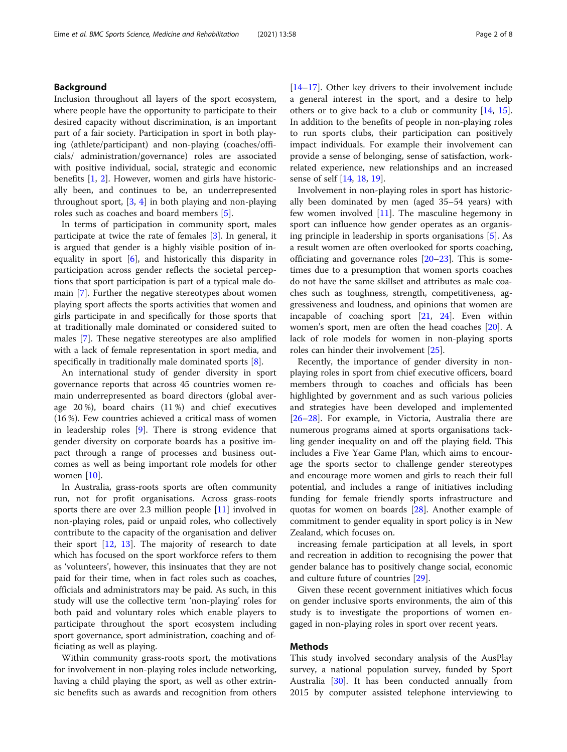#### Background

Inclusion throughout all layers of the sport ecosystem, where people have the opportunity to participate to their desired capacity without discrimination, is an important part of a fair society. Participation in sport in both playing (athlete/participant) and non-playing (coaches/officials/ administration/governance) roles are associated with positive individual, social, strategic and economic benefits [\[1,](#page-7-0) [2\]](#page-7-0). However, women and girls have historically been, and continues to be, an underrepresented throughout sport, [[3,](#page-7-0) [4](#page-7-0)] in both playing and non-playing roles such as coaches and board members [\[5\]](#page-7-0).

In terms of participation in community sport, males participate at twice the rate of females [[3\]](#page-7-0). In general, it is argued that gender is a highly visible position of inequality in sport [[6\]](#page-7-0), and historically this disparity in participation across gender reflects the societal perceptions that sport participation is part of a typical male domain [[7\]](#page-7-0). Further the negative stereotypes about women playing sport affects the sports activities that women and girls participate in and specifically for those sports that at traditionally male dominated or considered suited to males [\[7](#page-7-0)]. These negative stereotypes are also amplified with a lack of female representation in sport media, and specifically in traditionally male dominated sports [[8\]](#page-7-0).

An international study of gender diversity in sport governance reports that across 45 countries women remain underrepresented as board directors (global average 20 %), board chairs (11 %) and chief executives (16 %). Few countries achieved a critical mass of women in leadership roles [\[9](#page-7-0)]. There is strong evidence that gender diversity on corporate boards has a positive impact through a range of processes and business outcomes as well as being important role models for other women [[10\]](#page-7-0).

In Australia, grass-roots sports are often community run, not for profit organisations. Across grass-roots sports there are over 2.3 million people [\[11](#page-7-0)] involved in non-playing roles, paid or unpaid roles, who collectively contribute to the capacity of the organisation and deliver their sport [\[12,](#page-7-0) [13\]](#page-7-0). The majority of research to date which has focused on the sport workforce refers to them as 'volunteers', however, this insinuates that they are not paid for their time, when in fact roles such as coaches, officials and administrators may be paid. As such, in this study will use the collective term 'non-playing' roles for both paid and voluntary roles which enable players to participate throughout the sport ecosystem including sport governance, sport administration, coaching and officiating as well as playing.

Within community grass-roots sport, the motivations for involvement in non-playing roles include networking, having a child playing the sport, as well as other extrinsic benefits such as awards and recognition from others [[14](#page-7-0)–[17](#page-7-0)]. Other key drivers to their involvement include a general interest in the sport, and a desire to help others or to give back to a club or community [[14,](#page-7-0) [15](#page-7-0)]. In addition to the benefits of people in non-playing roles to run sports clubs, their participation can positively impact individuals. For example their involvement can provide a sense of belonging, sense of satisfaction, workrelated experience, new relationships and an increased sense of self [\[14,](#page-7-0) [18,](#page-7-0) [19\]](#page-7-0).

Involvement in non-playing roles in sport has historically been dominated by men (aged 35–54 years) with few women involved [\[11\]](#page-7-0). The masculine hegemony in sport can influence how gender operates as an organising principle in leadership in sports organisations [[5](#page-7-0)]. As a result women are often overlooked for sports coaching, officiating and governance roles [[20](#page-7-0)–[23](#page-7-0)]. This is sometimes due to a presumption that women sports coaches do not have the same skillset and attributes as male coaches such as toughness, strength, competitiveness, aggressiveness and loudness, and opinions that women are incapable of coaching sport [[21](#page-7-0), [24](#page-7-0)]. Even within women's sport, men are often the head coaches [[20](#page-7-0)]. A lack of role models for women in non-playing sports roles can hinder their involvement [\[25](#page-7-0)].

Recently, the importance of gender diversity in nonplaying roles in sport from chief executive officers, board members through to coaches and officials has been highlighted by government and as such various policies and strategies have been developed and implemented [[26](#page-7-0)–[28](#page-7-0)]. For example, in Victoria, Australia there are numerous programs aimed at sports organisations tackling gender inequality on and off the playing field. This includes a Five Year Game Plan, which aims to encourage the sports sector to challenge gender stereotypes and encourage more women and girls to reach their full potential, and includes a range of initiatives including funding for female friendly sports infrastructure and quotas for women on boards [\[28\]](#page-7-0). Another example of commitment to gender equality in sport policy is in New Zealand, which focuses on.

increasing female participation at all levels, in sport and recreation in addition to recognising the power that gender balance has to positively change social, economic and culture future of countries [\[29\]](#page-7-0).

Given these recent government initiatives which focus on gender inclusive sports environments, the aim of this study is to investigate the proportions of women engaged in non-playing roles in sport over recent years.

#### Methods

This study involved secondary analysis of the AusPlay survey, a national population survey, funded by Sport Australia [[30\]](#page-7-0). It has been conducted annually from 2015 by computer assisted telephone interviewing to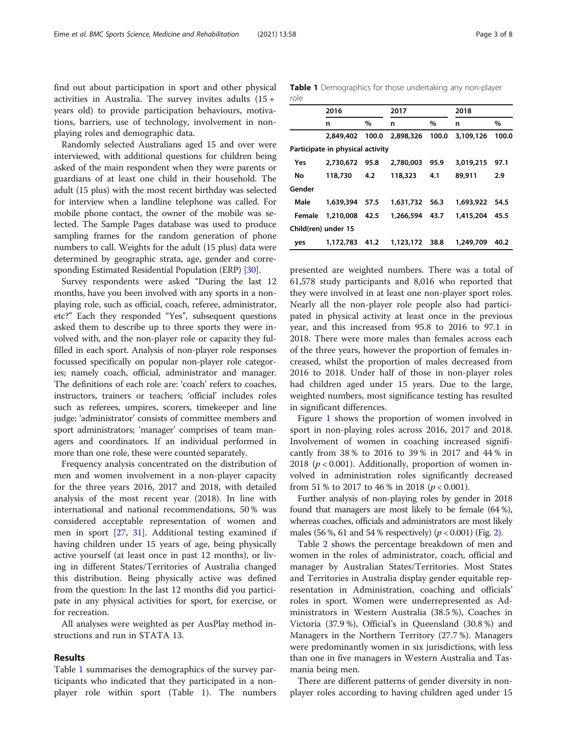find out about participation in sport and other physical activities in Australia. The survey invites adults (15 + years old) to provide participation behaviours, motivations, barriers, use of technology, involvement in nonplaying roles and demographic data.

Randomly selected Australians aged 15 and over were interviewed, with additional questions for children being asked of the main respondent when they were parents or guardians of at least one child in their household. The adult (15 plus) with the most recent birthday was selected for interview when a landline telephone was called. For mobile phone contact, the owner of the mobile was selected. The Sample Pages database was used to produce sampling frames for the random generation of phone numbers to call. Weights for the adult (15 plus) data were determined by geographic strata, age, gender and corresponding Estimated Residential Population (ERP) [\[30\]](#page-7-0).

Survey respondents were asked "During the last 12 months, have you been involved with any sports in a nonplaying role, such as official, coach, referee, administrator, etc?" Each they responded "Yes", subsequent questions asked them to describe up to three sports they were involved with, and the non-player role or capacity they fulfilled in each sport. Analysis of non-player role responses focussed specifically on popular non-player role categories; namely coach, official, administrator and manager. The definitions of each role are: 'coach' refers to coaches, instructors, trainers or teachers; 'official' includes roles such as referees, umpires, scorers, timekeeper and line judge; 'administrator' consists of committee members and sport administrators; 'manager' comprises of team managers and coordinators. If an individual performed in more than one role, these were counted separately.

Frequency analysis concentrated on the distribution of men and women involvement in a non-player capacity for the three years 2016, 2017 and 2018, with detailed analysis of the most recent year (2018). In line with international and national recommendations, 50 % was considered acceptable representation of women and men in sport [\[27](#page-7-0), [31](#page-7-0)]. Additional testing examined if having children under 15 years of age, being physically active yourself (at least once in past 12 months), or living in different States/Territories of Australia changed this distribution. Being physically active was defined from the question: In the last 12 months did you participate in any physical activities for sport, for exercise, or for recreation.

All analyses were weighted as per AusPlay method instructions and run in STATA 13.

#### Results

Table 1 summarises the demographics of the survey participants who indicated that they participated in a nonplayer role within sport (Table 1). The numbers

Table 1 Demographics for those undertaking any non-player role

|        | 2016                             |        | 2017           |       | 2018           |       |
|--------|----------------------------------|--------|----------------|-------|----------------|-------|
|        | n                                | $\%$   | n              | $\%$  | n              | $\%$  |
|        | 2,849,402 100.0                  |        | 2,898,326      | 100.0 | 3,109,126      | 100.0 |
|        | Participate in physical activity |        |                |       |                |       |
| Yes    | 2,730,672                        | 95.8   | 2,780,003      | 95.9  | 3,019,215      | 97.1  |
| No     | 118,730                          | 4.2    | 118,323        | 4.1   | 89,911         | 2.9   |
| Gender |                                  |        |                |       |                |       |
| Male   | 1,639,394                        | - 57.5 | 1,631,732 56.3 |       | 1,693,922 54.5 |       |
| Female | 1,210,008                        | - 42.5 | 1,266,594      | 43.7  | 1,415,204      | 45.5  |
|        | Child(ren) under 15              |        |                |       |                |       |
| yes    | 1,172,783                        | 41.2   | 1,123,172 38.8 |       | 1,249,709      | 40.2  |
|        |                                  |        |                |       |                |       |

presented are weighted numbers. There was a total of 61,578 study participants and 8,016 who reported that they were involved in at least one non-player sport roles. Nearly all the non-player role people also had participated in physical activity at least once in the previous year, and this increased from 95.8 to 2016 to 97.1 in 2018. There were more males than females across each of the three years, however the proportion of females increased, whilst the proportion of males decreased from 2016 to 2018. Under half of those in non-player roles had children aged under 15 years. Due to the large, weighted numbers, most significance testing has resulted in significant differences.

Figure [1](#page-4-0) shows the proportion of women involved in sport in non-playing roles across 2016, 2017 and 2018. Involvement of women in coaching increased significantly from 38 % to 2016 to 39 % in 2017 and 44 % in 2018 ( $p < 0.001$ ). Additionally, proportion of women involved in administration roles significantly decreased from 51 % to 2017 to 46 % in 2018 ( $p < 0.001$ ).

Further analysis of non-playing roles by gender in 2018 found that managers are most likely to be female (64 %), whereas coaches, officials and administrators are most likely males (56 %, 61 and 54 % respectively) ( $p < 0.001$ ) (Fig. [2\)](#page-4-0).

Table [2](#page-5-0) shows the percentage breakdown of men and women in the roles of administrator, coach, official and manager by Australian States/Territories. Most States and Territories in Australia display gender equitable representation in Administration, coaching and officials' roles in sport. Women were underrepresented as Administrators in Western Australia (38.5 %), Coaches in Victoria (37.9 %), Official's in Queensland (30.8 %) and Managers in the Northern Territory (27.7 %). Managers were predominantly women in six jurisdictions, with less than one in five managers in Western Australia and Tasmania being men.

There are different patterns of gender diversity in nonplayer roles according to having children aged under 15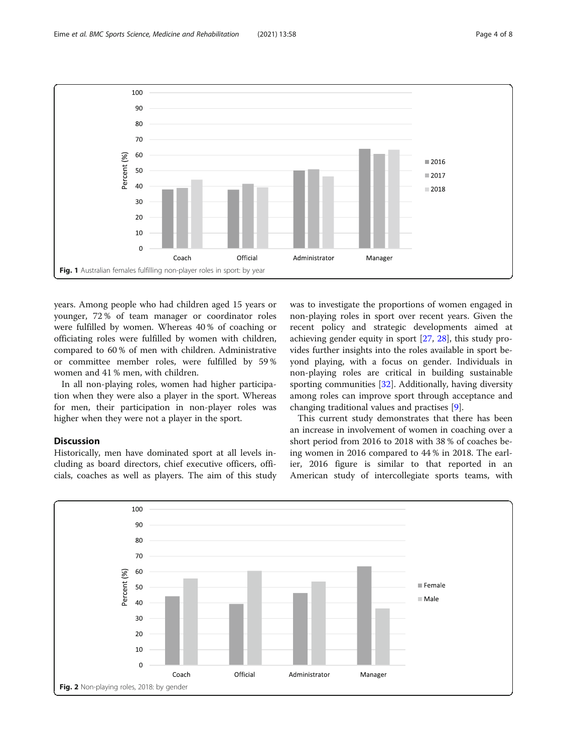<span id="page-4-0"></span>

years. Among people who had children aged 15 years or younger, 72 % of team manager or coordinator roles were fulfilled by women. Whereas 40 % of coaching or officiating roles were fulfilled by women with children, compared to 60 % of men with children. Administrative or committee member roles, were fulfilled by 59 % women and 41 % men, with children.

In all non-playing roles, women had higher participation when they were also a player in the sport. Whereas for men, their participation in non-player roles was higher when they were not a player in the sport.

### **Discussion**

Historically, men have dominated sport at all levels including as board directors, chief executive officers, officials, coaches as well as players. The aim of this study was to investigate the proportions of women engaged in non-playing roles in sport over recent years. Given the recent policy and strategic developments aimed at achieving gender equity in sport [\[27,](#page-7-0) [28](#page-7-0)], this study provides further insights into the roles available in sport beyond playing, with a focus on gender. Individuals in non-playing roles are critical in building sustainable sporting communities [[32\]](#page-7-0). Additionally, having diversity among roles can improve sport through acceptance and changing traditional values and practises [\[9](#page-7-0)].

This current study demonstrates that there has been an increase in involvement of women in coaching over a short period from 2016 to 2018 with 38 % of coaches being women in 2016 compared to 44 % in 2018. The earlier, 2016 figure is similar to that reported in an American study of intercollegiate sports teams, with

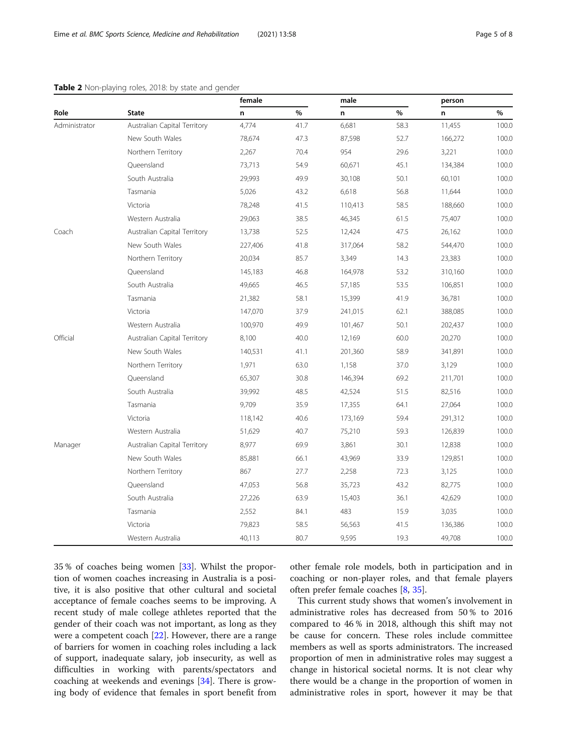#### <span id="page-5-0"></span>Table 2 Non-playing roles, 2018: by state and gender

|               | <b>State</b>                 | female  |      | male    |      | person  |       |
|---------------|------------------------------|---------|------|---------|------|---------|-------|
| Role          |                              | n       | $\%$ | n       | %    | n       | $\%$  |
| Administrator | Australian Capital Territory | 4,774   | 41.7 | 6,681   | 58.3 | 11,455  | 100.0 |
|               | New South Wales              | 78,674  | 47.3 | 87,598  | 52.7 | 166,272 | 100.0 |
|               | Northern Territory           | 2,267   | 70.4 | 954     | 29.6 | 3,221   | 100.0 |
|               | Queensland                   | 73,713  | 54.9 | 60,671  | 45.1 | 134,384 | 100.0 |
|               | South Australia              | 29,993  | 49.9 | 30,108  | 50.1 | 60,101  | 100.0 |
|               | Tasmania                     | 5,026   | 43.2 | 6,618   | 56.8 | 11,644  | 100.0 |
|               | Victoria                     | 78,248  | 41.5 | 110,413 | 58.5 | 188,660 | 100.0 |
|               | Western Australia            | 29,063  | 38.5 | 46,345  | 61.5 | 75,407  | 100.0 |
| Coach         | Australian Capital Territory | 13,738  | 52.5 | 12,424  | 47.5 | 26,162  | 100.0 |
|               | New South Wales              | 227,406 | 41.8 | 317,064 | 58.2 | 544,470 | 100.0 |
|               | Northern Territory           | 20,034  | 85.7 | 3,349   | 14.3 | 23,383  | 100.0 |
|               | Queensland                   | 145,183 | 46.8 | 164,978 | 53.2 | 310,160 | 100.0 |
|               | South Australia              | 49,665  | 46.5 | 57,185  | 53.5 | 106,851 | 100.0 |
|               | Tasmania                     | 21,382  | 58.1 | 15,399  | 41.9 | 36,781  | 100.0 |
|               | Victoria                     | 147,070 | 37.9 | 241,015 | 62.1 | 388,085 | 100.0 |
|               | Western Australia            | 100,970 | 49.9 | 101,467 | 50.1 | 202,437 | 100.0 |
| Official      | Australian Capital Territory | 8,100   | 40.0 | 12,169  | 60.0 | 20,270  | 100.0 |
|               | New South Wales              | 140,531 | 41.1 | 201,360 | 58.9 | 341,891 | 100.0 |
|               | Northern Territory           | 1,971   | 63.0 | 1,158   | 37.0 | 3,129   | 100.0 |
|               | Queensland                   | 65,307  | 30.8 | 146,394 | 69.2 | 211,701 | 100.0 |
|               | South Australia              | 39,992  | 48.5 | 42,524  | 51.5 | 82,516  | 100.0 |
|               | Tasmania                     | 9,709   | 35.9 | 17,355  | 64.1 | 27,064  | 100.0 |
|               | Victoria                     | 118,142 | 40.6 | 173,169 | 59.4 | 291,312 | 100.0 |
|               | Western Australia            | 51,629  | 40.7 | 75,210  | 59.3 | 126,839 | 100.0 |
| Manager       | Australian Capital Territory | 8,977   | 69.9 | 3,861   | 30.1 | 12,838  | 100.0 |
|               | New South Wales              | 85,881  | 66.1 | 43,969  | 33.9 | 129,851 | 100.0 |
|               | Northern Territory           | 867     | 27.7 | 2,258   | 72.3 | 3,125   | 100.0 |
|               | Queensland                   | 47,053  | 56.8 | 35,723  | 43.2 | 82,775  | 100.0 |
|               | South Australia              | 27,226  | 63.9 | 15,403  | 36.1 | 42,629  | 100.0 |
|               | Tasmania                     | 2,552   | 84.1 | 483     | 15.9 | 3,035   | 100.0 |
|               | Victoria                     | 79,823  | 58.5 | 56,563  | 41.5 | 136,386 | 100.0 |
|               | Western Australia            | 40,113  | 80.7 | 9,595   | 19.3 | 49,708  | 100.0 |

35 % of coaches being women [\[33\]](#page-7-0). Whilst the proportion of women coaches increasing in Australia is a positive, it is also positive that other cultural and societal acceptance of female coaches seems to be improving. A recent study of male college athletes reported that the gender of their coach was not important, as long as they were a competent coach [\[22\]](#page-7-0). However, there are a range of barriers for women in coaching roles including a lack of support, inadequate salary, job insecurity, as well as difficulties in working with parents/spectators and coaching at weekends and evenings [[34](#page-7-0)]. There is growing body of evidence that females in sport benefit from other female role models, both in participation and in coaching or non-player roles, and that female players often prefer female coaches [\[8](#page-7-0), [35](#page-7-0)].

This current study shows that women's involvement in administrative roles has decreased from 50 % to 2016 compared to 46 % in 2018, although this shift may not be cause for concern. These roles include committee members as well as sports administrators. The increased proportion of men in administrative roles may suggest a change in historical societal norms. It is not clear why there would be a change in the proportion of women in administrative roles in sport, however it may be that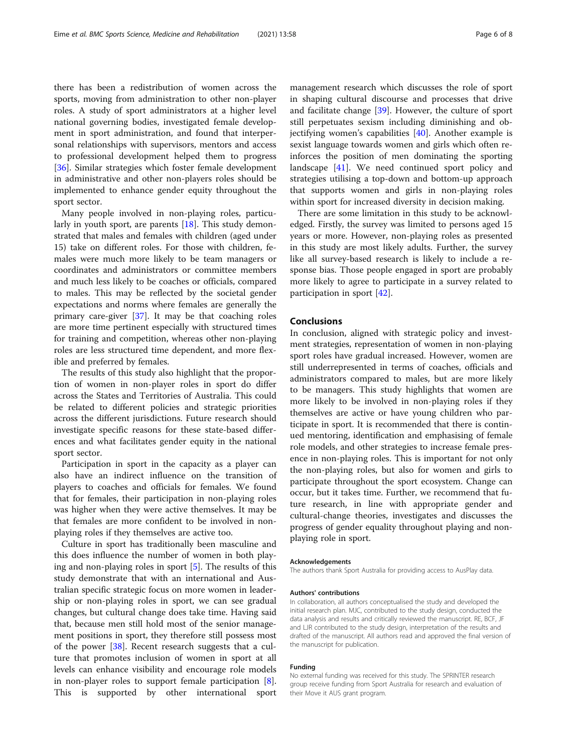there has been a redistribution of women across the sports, moving from administration to other non-player roles. A study of sport administrators at a higher level national governing bodies, investigated female development in sport administration, and found that interpersonal relationships with supervisors, mentors and access to professional development helped them to progress [[36\]](#page-7-0). Similar strategies which foster female development in administrative and other non-players roles should be implemented to enhance gender equity throughout the sport sector.

Many people involved in non-playing roles, particularly in youth sport, are parents  $[18]$  $[18]$ . This study demonstrated that males and females with children (aged under 15) take on different roles. For those with children, females were much more likely to be team managers or coordinates and administrators or committee members and much less likely to be coaches or officials, compared to males. This may be reflected by the societal gender expectations and norms where females are generally the primary care-giver [[37\]](#page-7-0). It may be that coaching roles are more time pertinent especially with structured times for training and competition, whereas other non-playing roles are less structured time dependent, and more flexible and preferred by females.

The results of this study also highlight that the proportion of women in non-player roles in sport do differ across the States and Territories of Australia. This could be related to different policies and strategic priorities across the different jurisdictions. Future research should investigate specific reasons for these state-based differences and what facilitates gender equity in the national sport sector.

Participation in sport in the capacity as a player can also have an indirect influence on the transition of players to coaches and officials for females. We found that for females, their participation in non-playing roles was higher when they were active themselves. It may be that females are more confident to be involved in nonplaying roles if they themselves are active too.

Culture in sport has traditionally been masculine and this does influence the number of women in both playing and non-playing roles in sport [[5\]](#page-7-0). The results of this study demonstrate that with an international and Australian specific strategic focus on more women in leadership or non-playing roles in sport, we can see gradual changes, but cultural change does take time. Having said that, because men still hold most of the senior management positions in sport, they therefore still possess most of the power [[38](#page-7-0)]. Recent research suggests that a culture that promotes inclusion of women in sport at all levels can enhance visibility and encourage role models in non-player roles to support female participation [\[8](#page-7-0)]. This is supported by other international sport management research which discusses the role of sport in shaping cultural discourse and processes that drive and facilitate change [[39](#page-7-0)]. However, the culture of sport still perpetuates sexism including diminishing and objectifying women's capabilities [\[40](#page-8-0)]. Another example is sexist language towards women and girls which often reinforces the position of men dominating the sporting landscape [\[41](#page-8-0)]. We need continued sport policy and strategies utilising a top-down and bottom-up approach that supports women and girls in non-playing roles within sport for increased diversity in decision making.

There are some limitation in this study to be acknowledged. Firstly, the survey was limited to persons aged 15 years or more. However, non-playing roles as presented in this study are most likely adults. Further, the survey like all survey-based research is likely to include a response bias. Those people engaged in sport are probably more likely to agree to participate in a survey related to participation in sport [\[42](#page-8-0)].

#### Conclusions

In conclusion, aligned with strategic policy and investment strategies, representation of women in non-playing sport roles have gradual increased. However, women are still underrepresented in terms of coaches, officials and administrators compared to males, but are more likely to be managers. This study highlights that women are more likely to be involved in non-playing roles if they themselves are active or have young children who participate in sport. It is recommended that there is continued mentoring, identification and emphasising of female role models, and other strategies to increase female presence in non-playing roles. This is important for not only the non-playing roles, but also for women and girls to participate throughout the sport ecosystem. Change can occur, but it takes time. Further, we recommend that future research, in line with appropriate gender and cultural-change theories, investigates and discusses the progress of gender equality throughout playing and nonplaying role in sport.

#### Acknowledgements

The authors thank Sport Australia for providing access to AusPlay data.

#### Authors' contributions

In collaboration, all authors conceptualised the study and developed the initial research plan. MJC, contributed to the study design, conducted the data analysis and results and critically reviewed the manuscript. RE, BCF, JF and LJR contributed to the study design, interpretation of the results and drafted of the manuscript. All authors read and approved the final version of the manuscript for publication.

#### Funding

No external funding was received for this study. The SPRINTER research group receive funding from Sport Australia for research and evaluation of their Move it AUS grant program.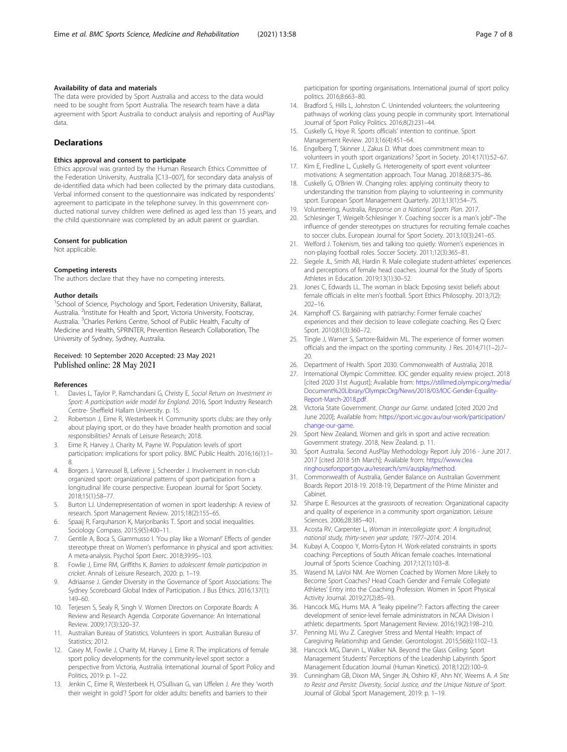#### <span id="page-7-0"></span>Availability of data and materials

The data were provided by Sport Australia and access to the data would need to be sought from Sport Australia. The research team have a data agreement with Sport Australia to conduct analysis and reporting of AusPlay data.

#### **Declarations**

#### Ethics approval and consent to participate

Ethics approval was granted by the Human Research Ethics Committee of the Federation University, Australia [C13–007], for secondary data analysis of de-identified data which had been collected by the primary data custodians. Verbal informed consent to the questionnaire was indicated by respondents' agreement to participate in the telephone survey. In this government conducted national survey children were defined as aged less than 15 years, and the child questionnaire was completed by an adult parent or guardian.

#### Consent for publication

Not applicable.

#### Competing interests

The authors declare that they have no competing interests.

#### Author details

<sup>1</sup>School of Science, Psychology and Sport, Federation University, Ballarat, Australia. <sup>2</sup>Institute for Health and Sport, Victoria University, Footscray, Australia. <sup>3</sup>Charles Perkins Centre, School of Public Health, Faculty of Medicine and Health, SPRINTER, Prevention Research Collaboration, The University of Sydney, Sydney, Australia.

#### Received: 10 September 2020 Accepted: 23 May 2021 Published online: 28 May 2021

#### References

- 1. Davies L, Taylor P, Ramchandani G, Christy E, Social Return on Investment in Sport: A participation wide model for England. 2016, Sport Industry Research Centre- Sheffield Hallam University. p. 15.
- 2. Robertson J, Eime R, Westerbeek H. Community sports clubs: are they only about playing sport, or do they have broader health promotion and social responsibilities? Annals of Leisure Research; 2018.
- 3. Eime R, Harvey J, Charity M, Payne W. Population levels of sport participation: implications for sport policy. BMC Public Health. 2016;16(1):1– 8.
- 4. Borgers J, Vanreusel B, Lefevre J, Scheerder J. Involvement in non-club organized sport: organizational patterns of sport participation from a longitudinal life course perspective. European Journal for Sport Society. 2018;15(1):58–77.
- 5. Burton LJ. Underrepresentation of women in sport leadership: A review of research. Sport Management Review. 2015;18(2):155–65.
- 6. Spaaij R, Farquharson K, Marjoribanks T. Sport and social inequalities. Sociology Compass. 2015;9(5):400–11.
- 7. Gentile A, Boca S, Giammusso I. 'You play like a Woman!' Effects of gender stereotype threat on Women's performance in physical and sport activities: A meta-analysis. Psychol Sport Exerc. 2018;39:95–103.
- 8. Fowlie J, Eime RM, Griffiths K. Barriers to adolescent female participation in cricket. Annals of Leisure Research, 2020: p. 1–19.
- 9. Adriaanse J. Gender Diversity in the Governance of Sport Associations: The Sydney Scoreboard Global Index of Participation. J Bus Ethics. 2016;137(1): 149–60.
- 10. Terjesen S, Sealy R, Singh V. Women Directors on Corporate Boards: A Review and Research Agenda. Corporate Governance: An International Review. 2009;17(3):320–37.
- 11. Australian Bureau of Statistics. Volunteers in sport. Australian Bureau of Statistics; 2012.
- 12. Casey M, Fowlie J, Charity M, Harvey J, Eime R. The implications of female sport policy developments for the community-level sport sector: a perspective from Victoria, Australia. International Journal of Sport Policy and Politics, 2019: p. 1–22.
- 13. Jenkin C, Eime R, Westerbeek H, O'Sullivan G, van Uffelen J. Are they 'worth their weight in gold'? Sport for older adults: benefits and barriers to their

participation for sporting organisations. International journal of sport policy politics. 2016;8:663–80.

- 14. Bradford S, Hills L, Johnston C. Unintended volunteers: the volunteering pathways of working class young people in community sport. International Journal of Sport Policy Politics. 2016;8(2):231–44.
- 15. Cuskelly G, Hoye R. Sports officials' intention to continue. Sport Management Review. 2013;16(4):451–64.
- 16. Engelberg T, Skinner J, Zakus D. What does commitment mean to volunteers in youth sport organizations? Sport in Society. 2014;17(1):52–67.
- 17. Kim E, Fredline L, Cuskelly G, Heterogeneity of sport event volunteer motivations: A segmentation approach. Tour Manag. 2018;68:375–86.
- 18. Cuskelly G, O'Brien W. Changing roles: applying continuity theory to understanding the transition from playing to volunteering in community sport. European Sport Management Quarterly. 2013;13(1):54–75.
- 19. Volunteering, Australia, Response on a National Sports Plan. 2017.
- 20. Schlesinger T, Weigelt-Schlesinger Y. Coaching soccer is a man's job!"–The influence of gender stereotypes on structures for recruiting female coaches to soccer clubs. European Journal for Sport Society. 2013;10(3):241–65.
- 21. Welford J. Tokenism, ties and talking too quietly: Women's experiences in non-playing football roles. Soccer Society. 2011;12(3):365–81.
- 22. Siegele JL, Smith AB, Hardin R. Male collegiate student-athletes' experiences and perceptions of female head coaches. Journal for the Study of Sports Athletes in Education. 2019;13(1):30–52.
- 23. Jones C, Edwards LL. The woman in black: Exposing sexist beliefs about female officials in elite men's football. Sport Ethics Philosophy. 2013;7(2): 202–16.
- 24. Kamphoff CS. Bargaining with patriarchy: Former female coaches' experiences and their decision to leave collegiate coaching. Res Q Exerc Sport. 2010;81(3):360–72.
- 25. Tingle J, Warner S, Sartore-Baldwin ML. The experience of former women officials and the impact on the sporting community. J Res. 2014;71(1–2):7–  $20$
- 26. Department of Health. Sport 2030. Commonwealth of Australia; 2018.
- 27. International Olympic Committee. IOC gender equality review project. 2018 [cited 2020 31st August]; Available from: [https://stillmed.olympic.org/media/](https://stillmed.olympic.org/media/Document%20Library/OlympicOrg/News/2018/03/IOC-Gender-Equality-Report-March-2018.pdf) [Document%20Library/OlympicOrg/News/2018/03/IOC-Gender-Equality-](https://stillmed.olympic.org/media/Document%20Library/OlympicOrg/News/2018/03/IOC-Gender-Equality-Report-March-2018.pdf)[Report-March-2018.pdf.](https://stillmed.olympic.org/media/Document%20Library/OlympicOrg/News/2018/03/IOC-Gender-Equality-Report-March-2018.pdf)
- 28. Victoria State Government. Change our Game. undated [cited 2020 2nd June 2020]; Available from: [https://sport.vic.gov.au/our-work/participation/](https://sport.vic.gov.au/our-work/participation/change-our-game) [change-our-game.](https://sport.vic.gov.au/our-work/participation/change-our-game)
- 29. Sport New Zealand, Women and girls in sport and active recreation: Government strategy. 2018, New Zealand. p. 11.
- 30. Sport Australia. Second AusPlay Methodology Report July 2016 June 2017. 2017 [cited 2018 5th March]; Available from: [https://www.clea](https://www.clearinghouseforsport.gov.au/research/smi/ausplay/method) [ringhouseforsport.gov.au/research/smi/ausplay/method.](https://www.clearinghouseforsport.gov.au/research/smi/ausplay/method)
- 31. Commonwealth of Australia, Gender Balance on Australian Government Boards Report 2018-19. 2018-19, Department of the Prime Minister and Cabinet.
- 32. Sharpe E. Resources at the grassroots of recreation: Organizational capacity and quality of experience in a community sport organization. Leisure Sciences. 2006;28:385–401.
- 33. Acosta RV, Carpenter L, Woman in intercollegiate sport: A longitudinal, national study, thirty-seven year update, 1977–2014. 2014.
- 34. Kubayi A, Coopoo Y, Morris-Eyton H. Work-related constraints in sports coaching: Perceptions of South African female coaches. International Journal of Sports Science Coaching. 2017;12(1):103–8.
- 35. Wasend M, LaVoi NM. Are Women Coached by Women More Likely to Become Sport Coaches? Head Coach Gender and Female Collegiate Athletes' Entry into the Coaching Profession. Women in Sport Physical Activity Journal. 2019;27(2):85–93.
- 36. Hancock MG, Hums MA. A "leaky pipeline"?: Factors affecting the career development of senior-level female administrators in NCAA Division I athletic departments. Sport Management Review. 2016;19(2):198–210.
- 37. Penning MJ, Wu Z. Caregiver Stress and Mental Health: Impact of Caregiving Relationship and Gender. Gerontologist. 2015;56(6):1102–13.
- 38. Hancock MG, Darvin L, Walker NA. Beyond the Glass Ceiling: Sport Management Students' Perceptions of the Leadership Labyrinth. Sport Management Education Journal (Human Kinetics). 2018;12(2):100–9.
- 39. Cunningham GB, Dixon MA, Singer JN, Oshiro KF, Ahn NY, Weems A. A Site to Resist and Persist: Diversity, Social Justice, and the Unique Nature of Sport. Journal of Global Sport Management, 2019: p. 1–19.